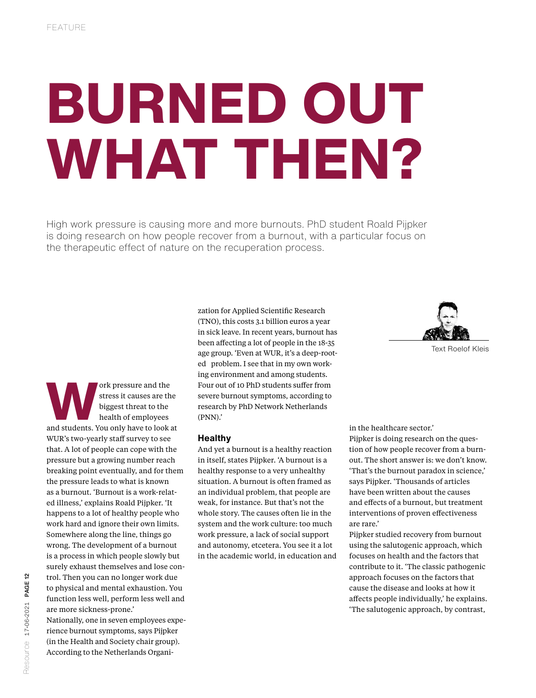# BURNED OUT WHAT THEN?

High work pressure is causing more and more burnouts. PhD student Roald Pijpker is doing research on how people recover from a burnout, with a particular focus on the therapeutic effect of nature on the recuperation process.



ork pressure and the<br>stress it causes are the<br>biggest threat to the<br>health of employees<br>and students. You only have to look at stress it causes are the biggest threat to the health of employees WUR's two-yearly staff survey to see that. A lot of people can cope with the pressure but a growing number reach breaking point eventually, and for them the pressure leads to what is known as a burnout. 'Burnout is a work-related illness,' explains Roald Pijpker. 'It happens to a lot of healthy people who work hard and ignore their own limits. Somewhere along the line, things go wrong. The development of a burnout is a process in which people slowly but surely exhaust themselves and lose control. Then you can no longer work due to physical and mental exhaustion. You function less well, perform less well and are more sickness-prone.'

Nationally, one in seven employees experience burnout symptoms, says Pijpker (in the Health and Society chair group). According to the Netherlands Organization for Applied Scientific Research (TNO), this costs 3.1 billion euros a year in sick leave. In recent years, burnout has been affecting a lot of people in the 18-35 age group. 'Even at WUR, it's a deep-rooted problem. I see that in my own working environment and among students. Four out of 10 PhD students suffer from severe burnout symptoms, according to research by PhD Network Netherlands (PNN).'

#### **Healthy**

And yet a burnout is a healthy reaction in itself, states Pijpker. 'A burnout is a healthy response to a very unhealthy situation. A burnout is often framed as an individual problem, that people are weak, for instance. But that's not the whole story. The causes often lie in the system and the work culture: too much work pressure, a lack of social support and autonomy, etcetera. You see it a lot in the academic world, in education and in the healthcare sector.'

Pijpker is doing research on the question of how people recover from a burnout. The short answer is: we don't know. 'That's the burnout paradox in science,' says Pijpker. 'Thousands of articles have been written about the causes and effects of a burnout, but treatment interventions of proven effectiveness are rare.'

Pijpker studied recovery from burnout using the salutogenic approach, which focuses on health and the factors that contribute to it. 'The classic pathogenic approach focuses on the factors that cause the disease and looks at how it affects people individually,' he explains. 'The salutogenic approach, by contrast,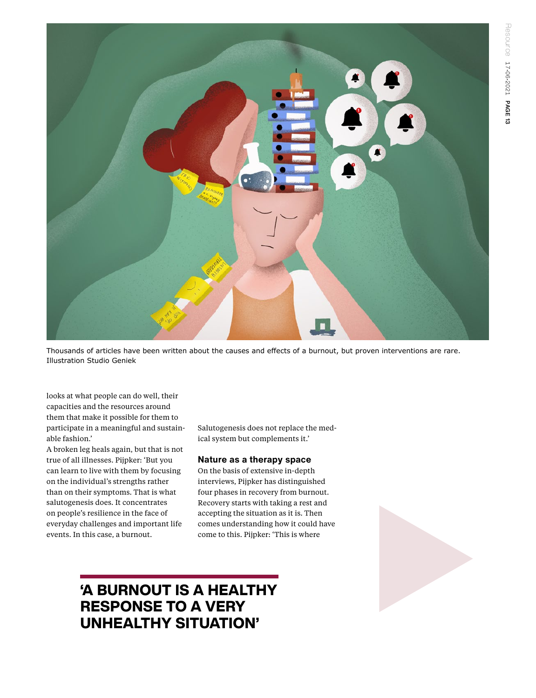

Thousands of articles have been written about the causes and effects of a burnout, but proven interventions are rare. Illustration Studio Geniek

looks at what people can do well, their capacities and the resources around them that make it possible for them to participate in a meaningful and sustainable fashion.'

A broken leg heals again, but that is not true of all illnesses. Pijpker: 'But you can learn to live with them by focusing on the individual's strengths rather than on their symptoms. That is what salutogenesis does. It concentrates on people's resilience in the face of everyday challenges and important life events. In this case, a burnout.

Salutogenesis does not replace the medical system but complements it.'

### **Nature as a therapy space**

On the basis of extensive in-depth interviews, Pijpker has distinguished four phases in recovery from burnout. Recovery starts with taking a rest and accepting the situation as it is. Then comes understanding how it could have come to this. Pijpker: 'This is where



## 'A BURNOUT IS A HEALTHY RESPONSE TO A VERY UNHEALTHY SITUATION'